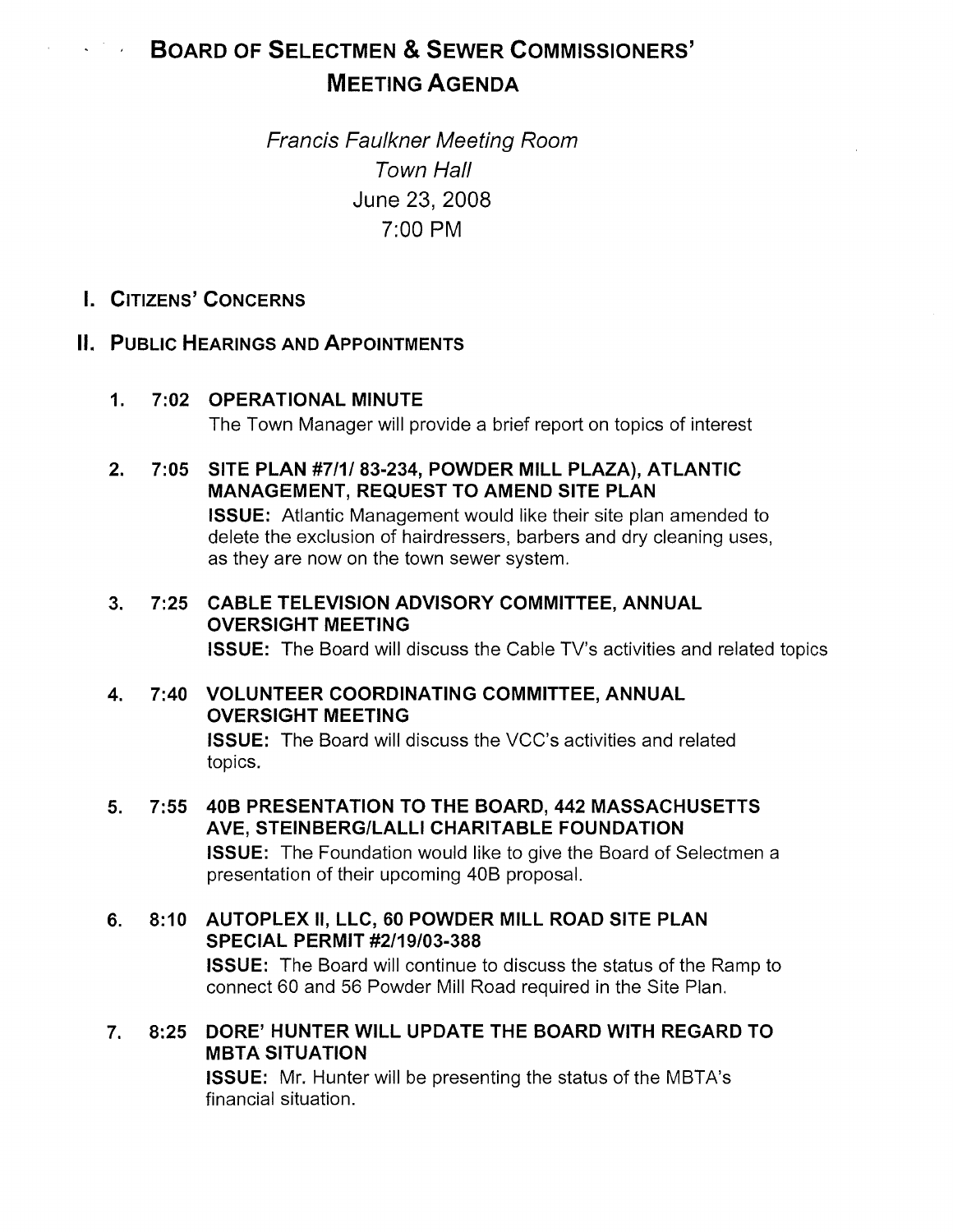# BOARD OF SELECTMEN & SEWER COMMISSIONERS' MEETING AGENDA

Francis Faulkner Meeting Room Town Hall June 23, 2008 7:00 PM

I. CITIZENS' CONCERNS

## II. PUBLIC HEARINGS AND APPOINTMENTS

- 1. 7:02 OPERATIONAL MINUTE The Town Manager will provide a brief report on topics of interest
- 2. 7:05 SITE PLAN #7111 83-234, POWDER MILL PLAZA), ATLANTIC MANAGEMENT, REQUEST TO AMEND SITE PLAN ISSUE: Atlantic Management would like their site plan amended to delete the exclusion of hairdressers, barbers and dry cleaning uses, as they are now on the town sewer system.
- 3. 7:25 CABLE TELEVISION ADVISORY COMMITTEE, ANNUAL OVERSIGHT MEETING ISSUE: The Board will discuss the Cable TV's activities and related topics
- 4. 7:40 VOLUNTEER COORDINATING COMMITTEE, ANNUAL OVERSIGHT MEETING ISSUE: The Board will discuss the VCC's activities and related topics.
- 5. 7:55 40B PRESENTATION TO THE BOARD, 442 MASSACHUSETTS AVE, STEINBERGILALLI CHARITABLE FOUNDATION ISSUE: The Foundation would like to give the Board of Selectmen a presentation of their upcoming 40B proposal.
- 6. 8:10 AUTOPLEX II, LLC, 60 POWDER MILL ROAD SITE PLAN SPECIAL PERMIT #2/19/03-388 ISSUE: The Board will continue to discuss the status of the Ramp to connect 60 and 56 Powder Mill Road required in the Site Plan.
- 7. 8:25 DORE' HUNTER WILL UPDATE THE BOARD WITH REGARD TO MBTA SITUATION

ISSUE: Mr. Hunter will be presenting the status of the MBTA's financial situation.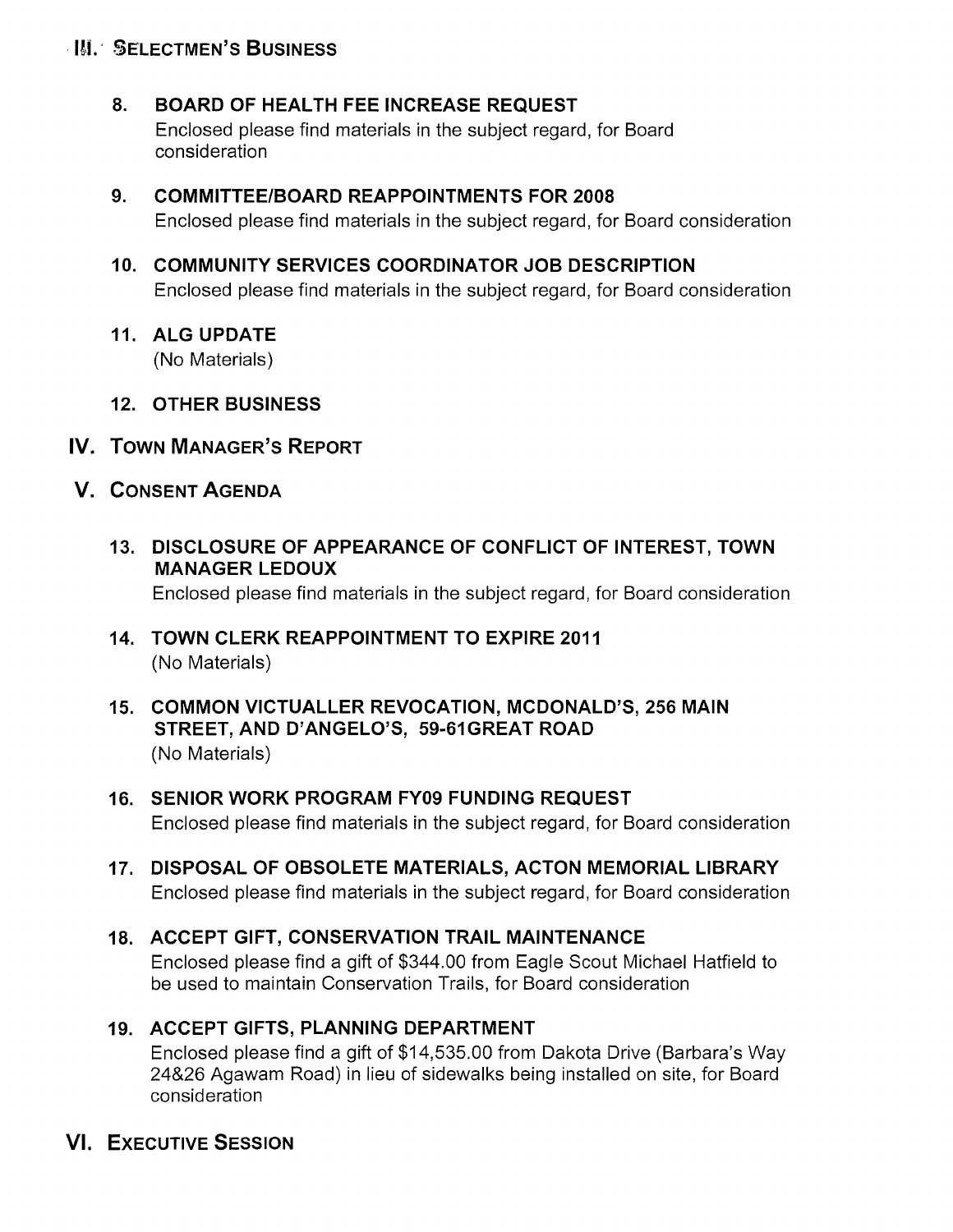## **III. SELECTMEN'S BUSINESS**

## 8. BOARD OF HEALTH FEE INCREASE REQUEST

Enclosed please find materials in the subject regard, for Board consideration

9. COMMITTEE/BOARD REAPPOINTMENTS FOR 2008 Enclosed please find materials in the subject regard, for Board consideration

## 10. COMMUNITY SERVICES COORDINATOR JOB DESCRIPTION Enclosed please find materials in the subject regard, for Board consideration

11. ALG UPDATE

(No Materials)

- 12. OTHER BUSINESS
- IV. TOWN MANAGER'S REPORT
- V. CONSENT AGENDA
	- 13. DISCLOSURE OF APPEARANCE OF CONFLICT OF INTEREST, TOWN MANAGER LEDOUX

Enclosed please find materials in the subject regard, for Board consideration

- 14. TOWN CLERK REAPPOINTMENT TO EXPIRE 2011 (No Materials)
- 15. COMMON VICTUALLER REVOCATION, MCDONALD'S, 256 MAIN STREET, AND D'ANGELO'S, 59-6IGREAT ROAD (No Materials)
- 16. SENIOR WORK PROGRAM FY09 FUNDING REQUEST Enclosed please find materials in the subject regard, for Board consideration
- 17. DISPOSAL OF OBSOLETE MATERIALS, ACTON MEMORIAL LIBRARY Enclosed please find materials in the subject regard, for Board consideration

## 18. ACCEPT GIFT, CONSERVATION TRAIL MAINTENANCE Enclosed please find a gift of \$344.00 from Eagle Scout Michael Hatfield to be used to maintain Conservation Trails, for Board consideration

19. ACCEPT GIFTS, PLANNING DEPARTMENT Enclosed please find a gift of \$14,535.00 from Dakota Drive (Barbara's Way 24&26 Agawam Road) in lieu of sidewalks being installed on site, for Board consideration

## VI. EXECUTIVE SESSION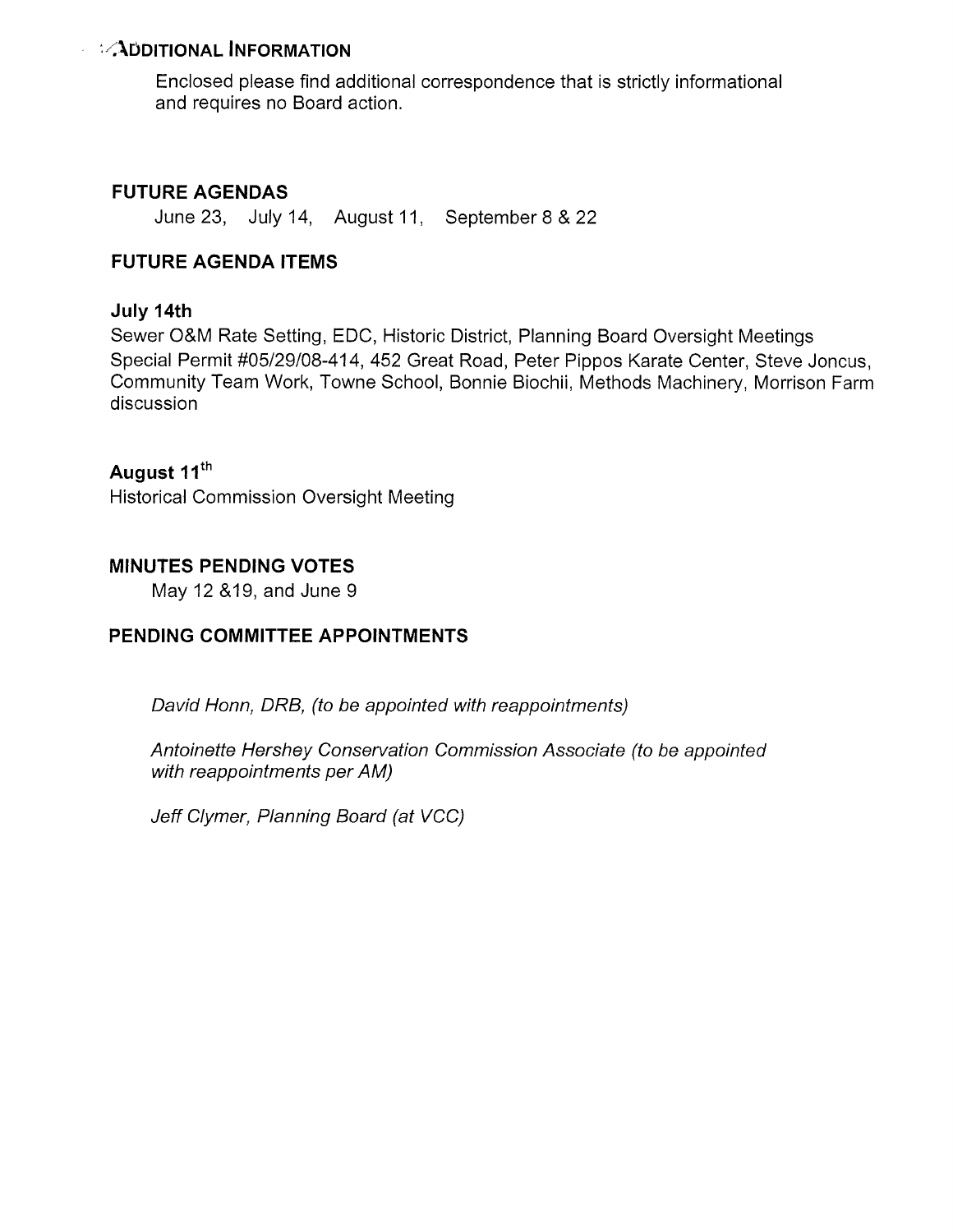## $\mathcal{D}$ DDITIONAL INFORMATION

Enclosed please find additional correspondence that is strictly informational and requires no Board action.

## FUTURE AGENDAS

June 23, July 14, August 11, September 8 & 22

### FUTURE AGENDA ITEMS

#### July 14th

Sewer O&M Rate Setting, EDO, Historic District, Planning Board Oversight Meetings Special Permit #05/29/08-414, 452 Great Road, Peter Pippos Karate Center, Steve Joncus, Community Team Work, Towne School, Bonnie Biochii, Methods Machinery, Morrison Farm discussion

## August 11<sup>th</sup>

Historical Commission Oversight Meeting

### MINUTES PENDING VOTES

May12 &19, and June 9

### PENDING COMMITTEE APPOINTMENTS

David Honn, DRB, (to be appointed with reappointments)

Antoinette Hershey Conservation Commission Associate (to be appointed with reappointments per AM)

Jeff Clymer, Planning Board (at VCC)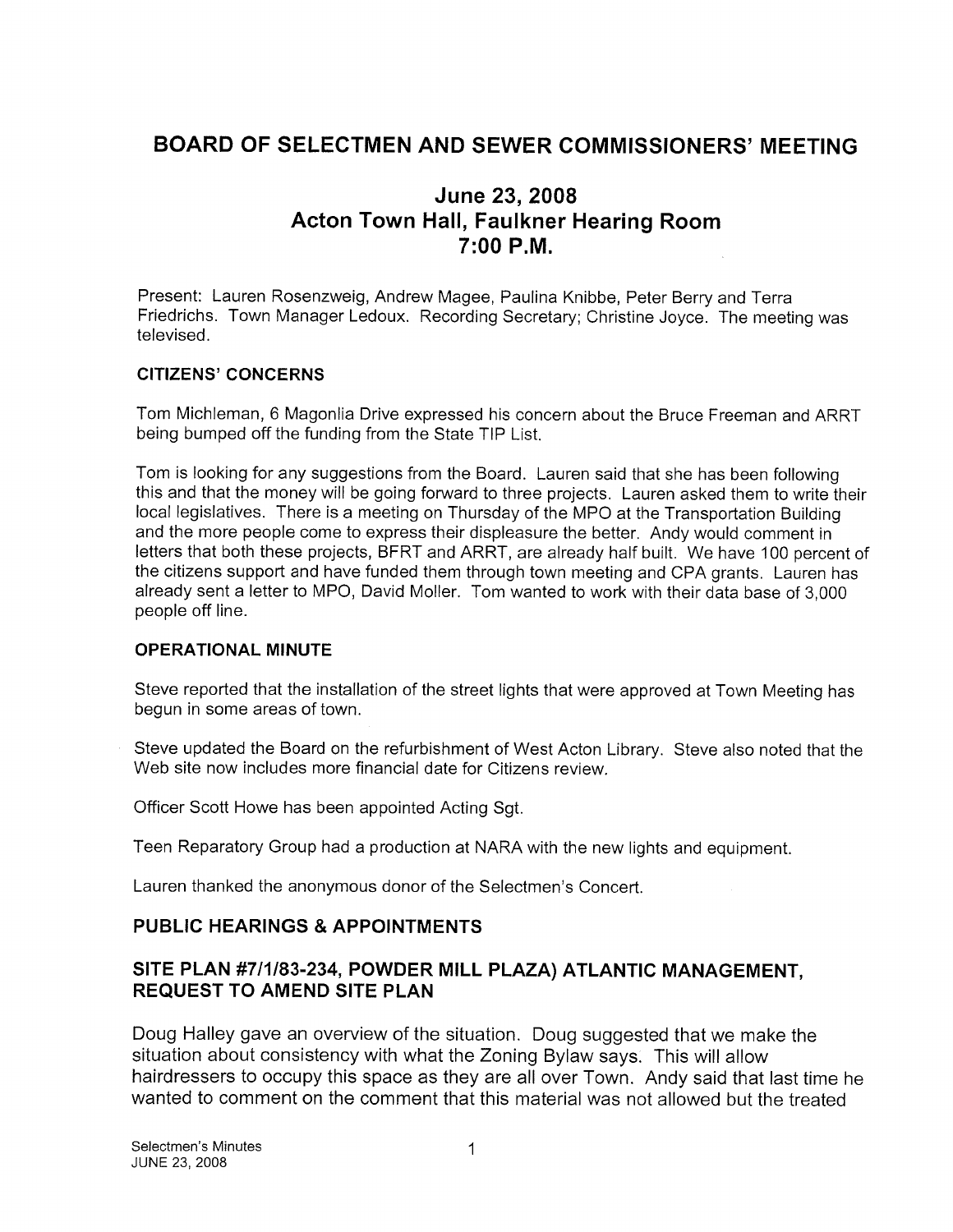## BOARD OF SELECTMEN AND SEWER COMMISSIONERS' MEETING

## June 23, 2008 Acton Town Hall, Faulkner Hearing Room 7:00 P.M.

Present: Lauren Rosenzweig, Andrew Magee, Paulina Knibbe, Peter Berry and Terra Friedrichs. Town Manager Ledoux. Recording Secretary; Christine Joyce. The meeting was televised.

#### CITIZENS' CONCERNS

Tom Michleman, 6 Magonlia Drive expressed his concern about the Bruce Freeman and ARRT being bumped off the funding from the State TIP List.

Tom is looking for any suggestions from the Board. Lauren said that she has been following this and that the money will be going forward to three projects. Lauren asked them to write their local legislatives. There is a meeting on Thursday of the MPO at the Transportation Building and the more people come to express their displeasure the better. Andy would comment in letters that both these projects, BFRT and ARRT, are already half built. We have 100 percent of the citizens support and have funded them through town meeting and CPA grants. Lauren has already sent a letter to MPO, David Moller. Tom wanted to work with their data base of 3,000 people off line.

#### OPERATIONAL MINUTE

Steve reported that the installation of the street lights that were approved at Town Meeting has begun in some areas of town.

Steve updated the Board on the refurbishment of West Acton Library. Steve also noted that the Web site now includes more financial date for Citizens review.

Officer Scott Howe has been appointed Acting Sgt.

Teen Reparatory Group had a production at NARA with the new lights and equipment.

Lauren thanked the anonymous donor of the Selectmen's Concert.

#### PUBLIC HEARINGS & APPOINTMENTS

### SITE PLAN #711183-234, POWDER MILL PLAZA) ATLANTIC MANAGEMENT, REQUEST TO AMEND SITE PLAN

Doug Halley gave an overview of the situation. Doug suggested that we make the situation about consistency with what the Zoning Bylaw says. This will allow hairdressers to occupy this space as they are all over Town. Andy said that last time he wanted to comment on the comment that this material was not allowed but the treated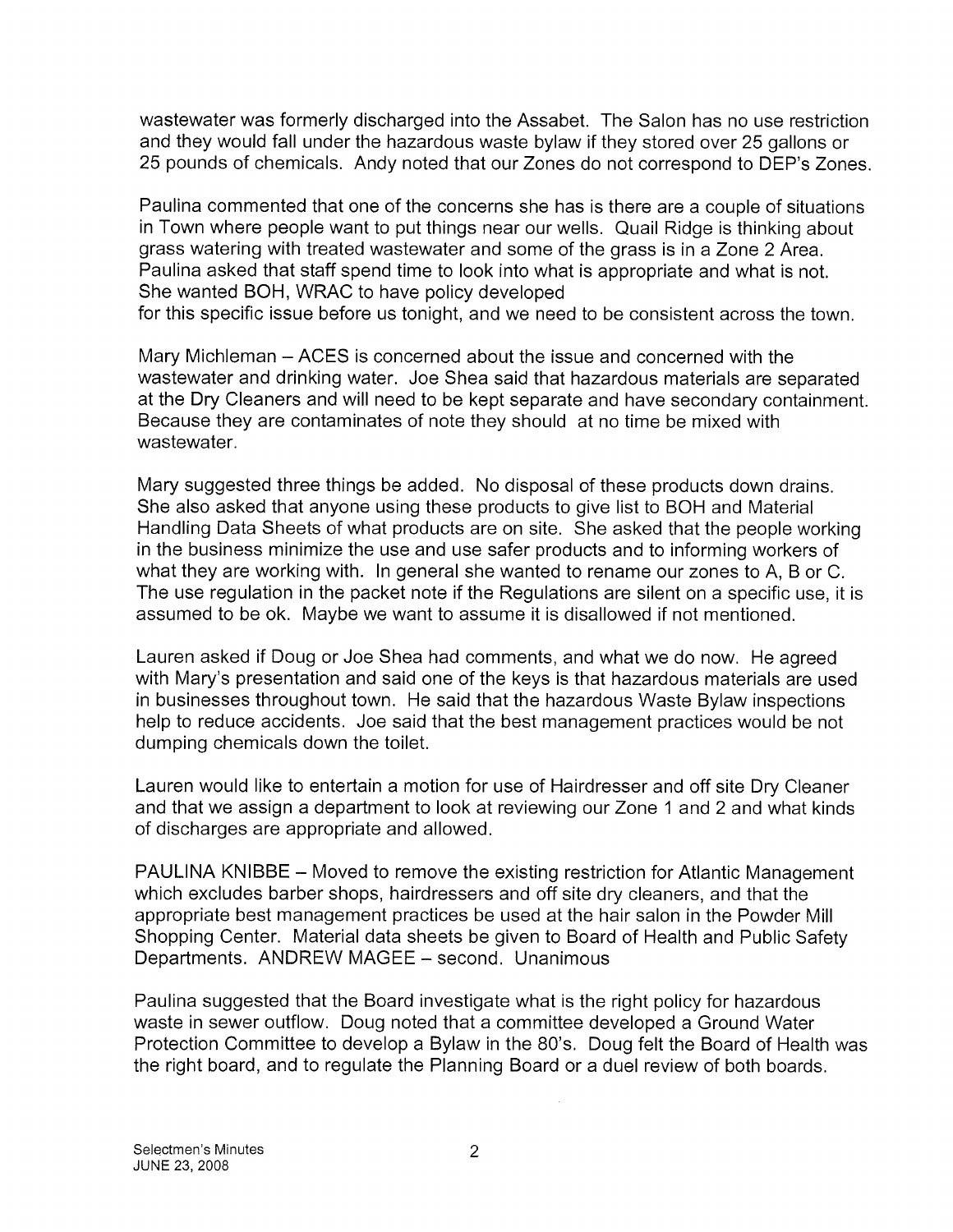wastewater was formerly discharged into the Assabet. The Salon has no use restriction and they would fall under the hazardous waste bylaw if they stored over 25 gallons or 25 pounds of chemicals. Andy noted that our Zones do not correspond to DEP's Zones.

Paulina commented that one of the concerns she has is there are a couple of situations in Town where people want to put things near our wells. Quail Ridge is thinking about grass watering with treated wastewater and some of the grass is in a Zone 2 Area. Paulina asked that staff spend time to look into what is appropriate and what is not. She wanted BOH, WRAC to have policy developed for this specific issue before us tonight, and we need to be consistent across the town.

Mary Michleman — ACES is concerned about the issue and concerned with the wastewater and drinking water. Joe Shea said that hazardous materials are separated at the Dry Cleaners and will need to be kept separate and have secondary containment. Because they are contaminates of note they should at no time be mixed with wastewater.

Mary suggested three things be added. No disposal of these products down drains. She also asked that anyone using these products to give list to BOH and Material Handling Data Sheets of what products are on site. She asked that the people working in the business minimize the use and use safer products and to informing workers of what they are working with. In general she wanted to rename our zones to A, <sup>B</sup> or C. The use regulation in the packet note if the Regulations are silent on a specific use, it is assumed to be ok. Maybe we want to assume it is disallowed if not mentioned.

Lauren asked if Doug or Joe Shea had comments, and what we do now. He agreed with Mary's presentation and said one of the keys is that hazardous materials are used in businesses throughout town. He said that the hazardous Waste Bylaw inspections help to reduce accidents. Joe said that the best management practices would be not dumping chemicals down the toilet.

Lauren would like to entertain a motion for use of Hairdresser and off site Dry Cleaner and that we assign a department to look at reviewing our Zone <sup>1</sup> and 2 and what kinds of discharges are appropriate and allowed.

PAULINA KNIBBE — Moved to remove the existing restriction for Atlantic Management which excludes barber shops, hairdressers and off site dry cleaners, and that the appropriate best management practices be used at the hair salon in the Powder Mill Shopping Center. Material data sheets be given to Board of Health and Public Safety Departments. ANDREW MAGEE - second. Unanimous

Paulina suggested that the Board investigate what is the right policy for hazardous waste in sewer outflow. Doug noted that a committee developed a Ground Water Protection Committee to develop a Bylaw in the 80's. Doug felt the Board of Health was the right board, and to regulate the Planning Board or a duel review of both boards.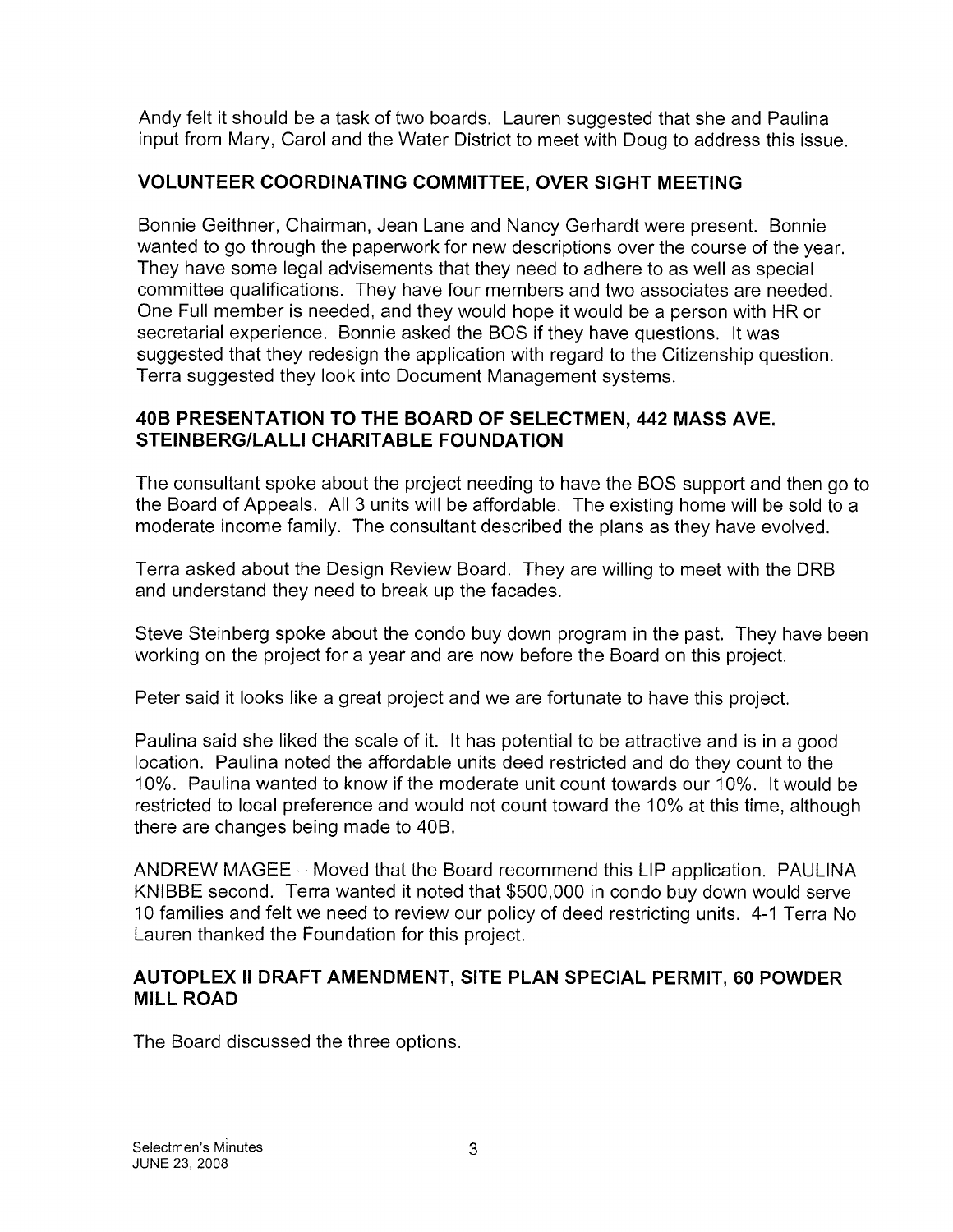Andy felt it should be a task of two boards. Lauren suggested that she and Paulina input from Mary, Carol and the Water District to meet with Doug to address this issue.

## VOLUNTEER COORDINATING COMMITTEE, OVER SIGHT MEETING

Bonnie Geithner, Chairman, Jean Lane and Nancy Gerhardt were present. Bonnie wanted to go through the paperwork for new descriptions over the course of the year. They have some legal advisements that they need to adhere to as well as special committee qualifications. They have four members and two associates are needed. One Full member is needed, and they would hope it would be a person with HR or secretarial experience. Bonnie asked the BOS if they have questions. It was suggested that they redesign the application with regard to the Citizenship question. Terra suggested they look into Document Management systems.

## 40B PRESENTATION TO THE BOARD OF SELECTMEN, 442 MASS AVE. STEINBERGILALLI CHARITABLE FOUNDATION

The consultant spoke about the project needing to have the BOS support and then go to the Board of Appeals. All 3 units will be affordable. The existing home will be sold to a moderate income family. The consultant described the plans as they have evolved.

Terra asked about the Design Review Board. They are willing to meet with the DRB and understand they need to break up the facades.

Steve Steinberg spoke about the condo buy down program in the past. They have been working on the project for a year and are now before the Board on this project.

Peter said it looks like a great project and we are fortunate to have this project.

Paulina said she liked the scale of it. It has potential to be attractive and is in a good location. Paulina noted the affordable units deed restricted and do they count to the 10%. Paulina wanted to know if the moderate unit count towards our 10%. It would be restricted to local preference and would not count toward the 10% at this time, although there are changes being made to 40B.

ANDREW MAGEE — Moved that the Board recommend this LIP application. PAULINA KNIBBE second. Terra wanted it noted that \$500,000 in condo buy down would serve 10 families and felt we need to review our policy of deed restricting units. 4-1 Terra No Lauren thanked the Foundation for this project.

### AUTOPLEX II DRAFT AMENDMENT, SITE PLAN SPECIAL PERMIT, 60 POWDER MILL ROAD

The Board discussed the three options.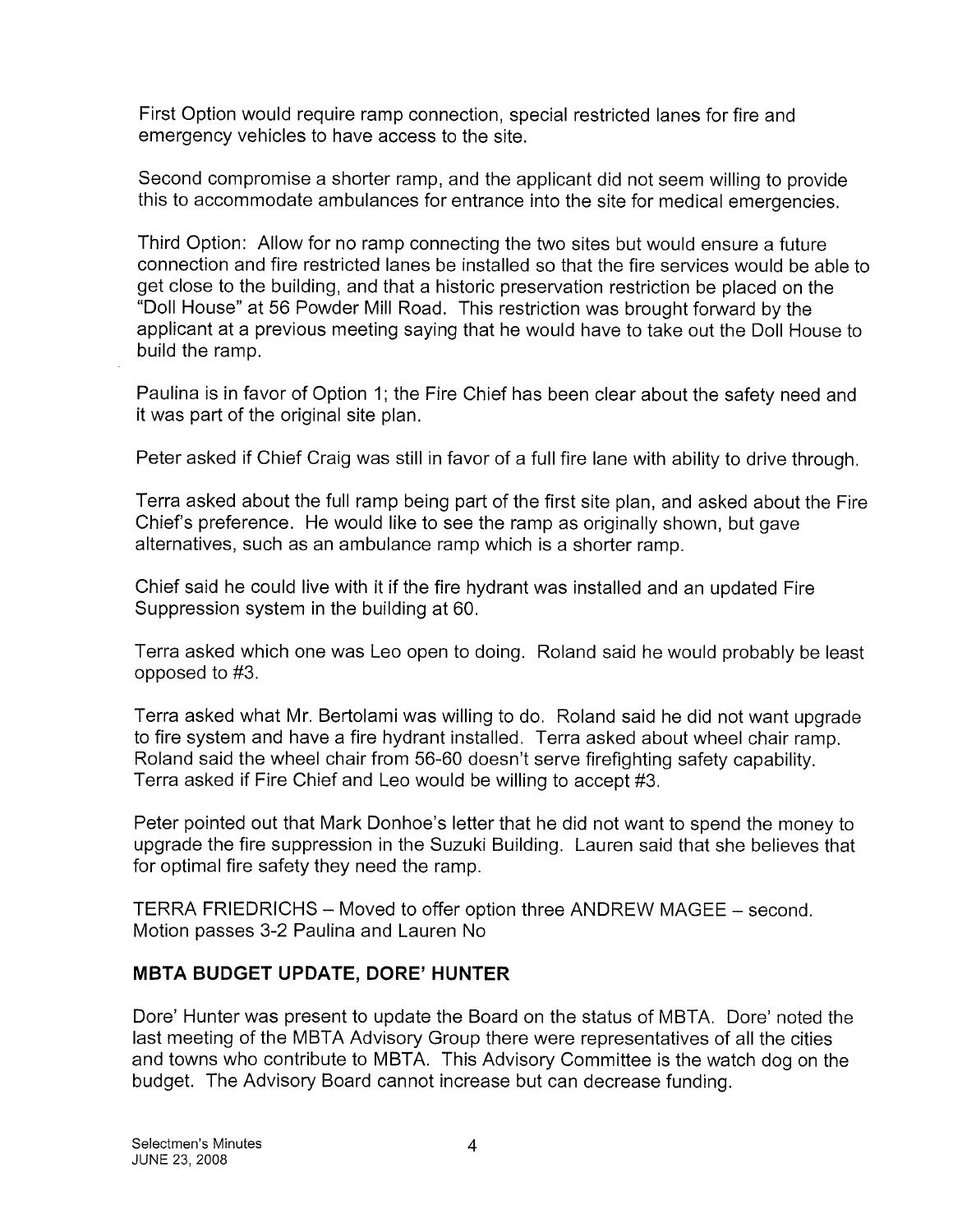First Option would require ramp connection, special restricted lanes for fire and emergency vehicles to have access to the site.

Second compromise a shorter ramp, and the applicant did not seem willing to provide this to accommodate ambulances for entrance into the site for medical emergencies.

Third Option: Allow for no ramp connecting the two sites but would ensure a future connection and fire restricted lanes be installed so that the fire services would be able to get close to the building, and that a historic preservation restriction be placed on the "Doll House" at 56 Powder Mill Road. This restriction was brought forward by the applicant at a previous meeting saying that he would have to take out the Doll House to build the ramp.

Paulina is in favor of Option 1; the Fire Chief has been clear about the safety need and it was part of the original site plan.

Peter asked if Chief Craig was still in favor of a full fire lane with ability to drive through.

Terra asked about the full ramp being part of the first site plan, and asked about the Fire Chief's preference. He would like to see the ramp as originally shown, but gave alternatives, such as an ambulance ramp which is a shorter ramp.

Chief said he could live with it if the fire hydrant was installed and an updated Fire Suppression system in the building at 60.

Terra asked which one was Leo open to doing. Roland said he would probably be least opposed to #3.

Terra asked what Mr. Bertolami was willing to do. Roland said he did not want upgrade to fire system and have a fire hydrant installed. Terra asked about wheel chair ramp. Roland said the wheel chair from 56-60 doesn't serve firefighting safety capability. Terra asked if Fire Chief and Leo would be willing to accept #3.

Peter pointed out that Mark Donhoe's letter that he did not want to spend the money to upgrade the fire suppression in the Suzuki Building. Lauren said that she believes that for optimal fire safety they need the ramp.

TERRA FRIEDRICHS — Moved to offer option three ANDREW MAGEE — second. Motion passes 3-2 Paulina and Lauren No

## MBTA BUDGET UPDATE, DORE' HUNTER

Dore' Hunter was present to update the Board on the status of MBTA. Dore' noted the last meeting of the MBTA Advisory Group there were representatives of all the cities and towns who contribute to MBTA. This Advisory Committee is the watch dog on the budget. The Advisory Board cannot increase but can decrease funding.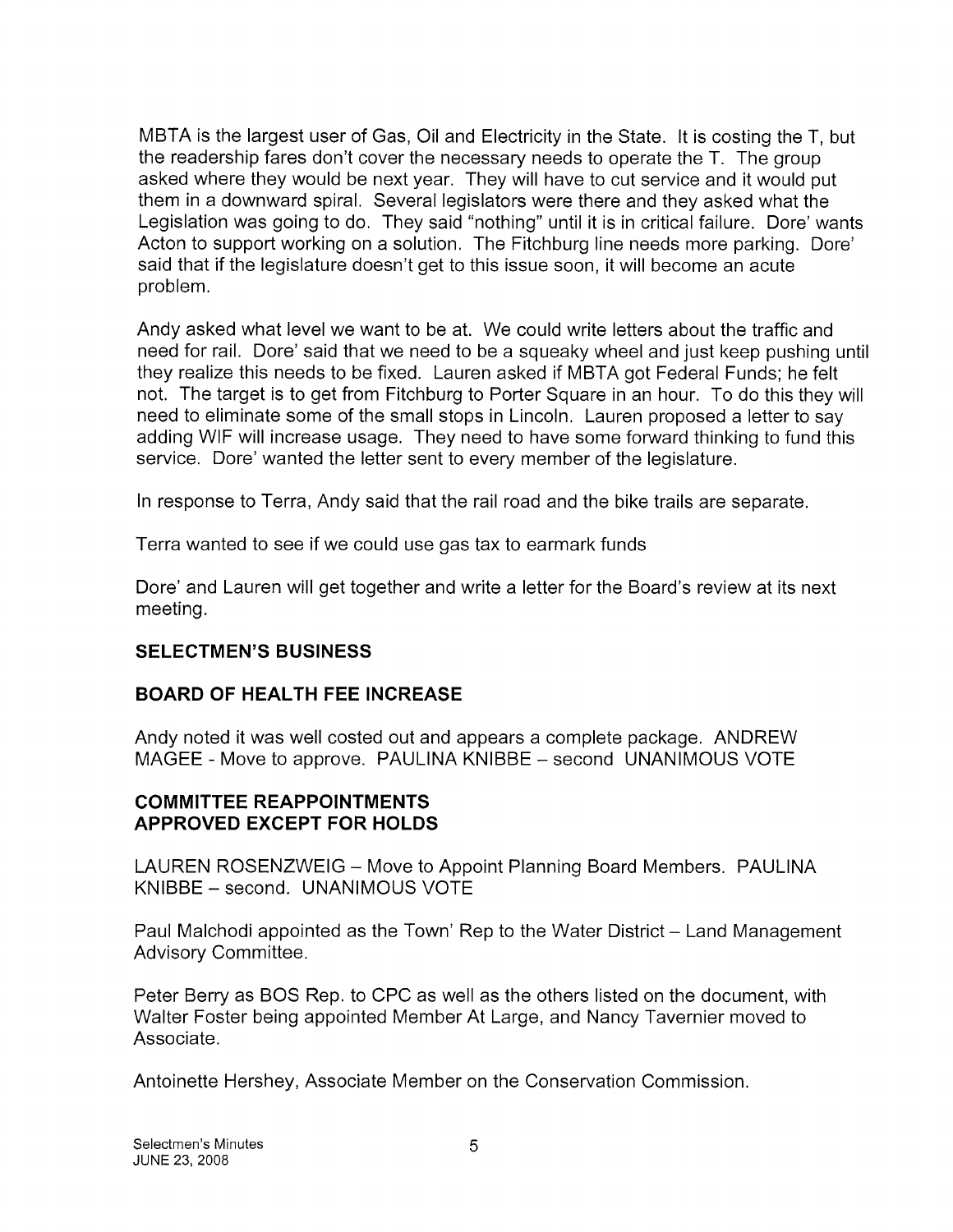MBTA is the largest user of Gas, Oil and Electricity in the State. It is costing the T, but the readership fares don't cover the necessary needs to operate the T. The group asked where they would be next year. They will have to cut service and it would put them in a downward spiral. Several legislators were there and they asked what the Legislation was going to do. They said "nothing" until it is in critical failure. Dore' wants Acton to support working on a solution. The Fitchburg line needs more parking. Dore' said that if the legislature doesn't get to this issue soon, it will become an acute problem.

Andy asked what level we want to be at. We could write letters about the traffic and need for rail. Dore' said that we need to be a squeaky wheel and just keep pushing until they realize this needs to be fixed. Lauren asked if MBTA got Federal Funds; he felt not. The target is to get from Fitchburg to Porter Square in an hour. To do this they will need to eliminate some of the small stops in Lincoln. Lauren proposed a letter to say adding WIF will increase usage. They need to have some forward thinking to fund this service. Dore' wanted the letter sent to every member of the legislature.

In response to Terra, Andy said that the rail road and the bike trails are separate.

Terra wanted to see if we could use gas tax to earmark funds

Dore' and Lauren will get together and write a letter for the Board's review at its next meeting.

## SELECTMEN'S BUSINESS

## BOARD OF HEALTH FEE INCREASE

Andy noted it was well costed out and appears a complete package. ANDREW MAGEE - Move to approve. PAULINA KNIBBE — second UNANIMOUS VOTE

## COMMITTEE REAPPOINTMENTS APPROVED EXCEPT FOR HOLDS

LAUREN ROSENZWEIG — Move to Appoint Planning Board Members. PAULINA KNIBBE — second. UNANIMOUS VOTE

Paul Malchodi appointed as the Town' Rep to the Water District — Land Management Advisory Committee.

Peter Berry as BOS Rep. to CPC as well as the others listed on the document, with Walter Foster being appointed Member At Large, and Nancy Tavernier moved to Associate.

Antoinette Hershey, Associate Member on the Conservation Commission.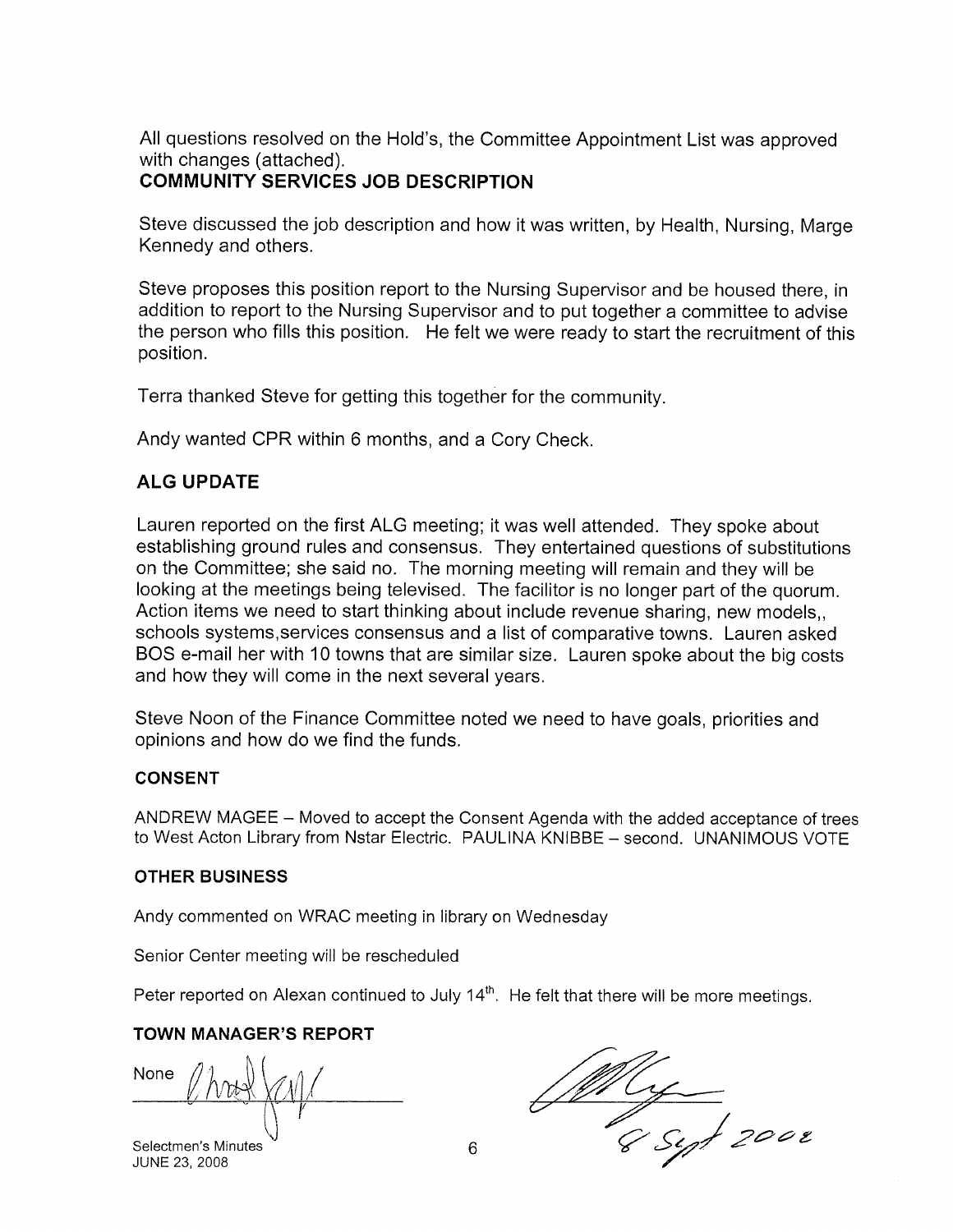All questions resolved on the Hold's, the Committee Appointment List was approved with changes (attached).

## COMMUNITY SERVICES JOB DESCRIPTION

Steve discussed the job description and how it was written, by Health, Nursing, Marge Kennedy and others.

Steve proposes this position report to the Nursing Supervisor and be housed there, in addition to report to the Nursing Supervisor and to put together a committee to advise the person who fills this position. He felt we were ready to start the recruitment of this position.

Terra thanked Steve for getting this together for the community.

Andy wanted CPR within 6 months, and a Cory Check.

### ALG UPDATE

Lauren reported on the first ALG meeting; it was well attended. They spoke about establishing ground rules and consensus. They entertained questions of substitutions on the Committee; she said no. The morning meeting will remain and they will be looking at the meetings being televised. The facilitor is no longer part of the quorum. Action items we need to start thinking about include revenue sharing, new models,, schools systems,services consensus and a list of comparative towns. Lauren asked BOS e-mail her with 10 towns that are similar size. Lauren spoke about the big costs and how they will come in the next several years.

Steve Noon of the Finance Committee noted we need to have goals, priorities and opinions and how do we find the funds.

#### CONSENT

ANDREW MAGEE — Moved to accept the Consent Agenda with the added acceptance of trees to West Acton Library from Nstar Electric. PAULINA KNIBBE — second. UNANIMOUS VOTE

#### OTHER BUSINESS

Andy commented on WRAC meeting in library on Wednesday

Senior Center meeting will be rescheduled

Peter reported on Alexan continued to July  $14<sup>th</sup>$ . He felt that there will be more meetings.

### TOWN MANAGER'S REPORT

None <u>tol</u>

Selectmen's Minutes  $\begin{array}{c} \sqrt{1-\frac{1}{2}}\\ \sqrt{1-\frac{1}{2}}\\ 6 \end{array}$  6  $\begin{array}{c} \sqrt{2-\frac{1}{2}}\\ \sqrt{1-\frac{1}{2}}\\ 2\sqrt{1-\frac{1}{2}}\\ 2\sqrt{1-\frac{1}{2}}\\ 2\sqrt{1-\frac{1}{2}}\\ 2\sqrt{1-\frac{1}{2}}\\ 2\sqrt{1-\frac{1}{2}}\\ 2\sqrt{1-\frac{1}{2}}\\ 2\sqrt{1-\frac{1}{2}}\\ 2\sqrt{1-\frac{1}{2}}\\ 2\sqrt{1-\frac{1}{2}}\\$ 

JUNE 23, 2008